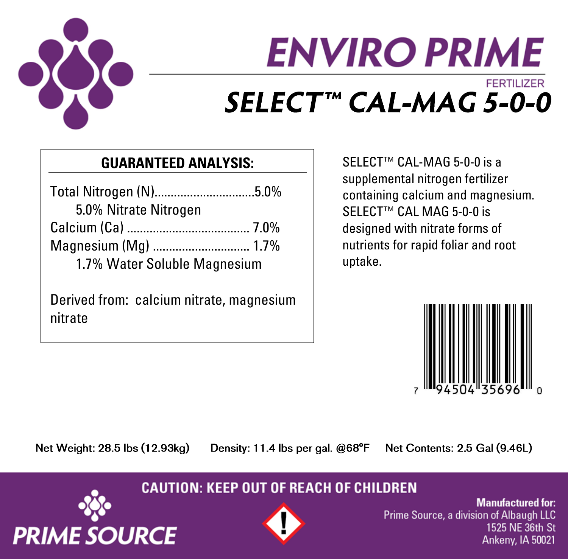

# **ENVIRO PRIME FERTILIZER** SELECT™ CAL-MAG 5-0-0

## **GUARANTEED ANALYSIS:**

Total Nitrogen (N)...............................5.0% 5.0% Nitrate Nitrogen Calcium (Ca) ...................................... 7.0% Magnesium (Mg) .............................. 1.7% 1.7% Water Soluble Magnesium

Derived from: calcium nitrate, magnesium nitrate

SELECT<sup>™</sup> CAL-MAG 5-0-0 is a supplemental nitrogen fertilizer containing calcium and magnesium. SELECT<sup>™</sup> CAL MAG 5-0-0 is designed with nitrate forms of nutrients for rapid foliar and root uptake.



Net Weight: 28.5 lbs (12.93kg)

**PRIME SOURCE** 

Density: 11.4 lbs per gal. @68°F

Net Contents: 2.5 Gal (9.46L)

### **CAUTION: KEEP OUT OF REACH OF CHILDREN**



**Manufactured for:** Prime Source, a division of Albaugh LLC 1525 NE 36th St Ankeny, IA 50021